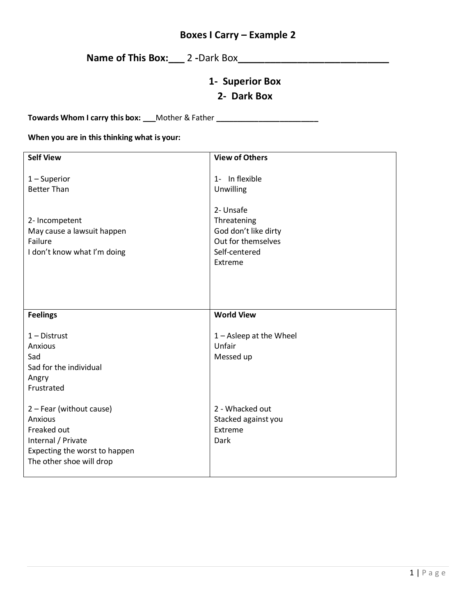## **Boxes I Carry – Example 2**

## **Name of This Box:\_\_\_** 2 **-**Dark Box**\_\_\_\_\_\_\_\_\_\_\_\_\_\_\_\_\_\_\_\_\_\_\_\_\_\_\_\_**

## **1- Superior Box**

## **2- Dark Box**

**Towards Whom I carry this box: \_\_\_**Mother & Father **\_\_\_\_\_\_\_\_\_\_\_\_\_\_\_\_\_\_\_\_\_\_\_\_**

#### **When you are in this thinking what is your:**

| <b>Self View</b>                                                                                                                      | <b>View of Others</b>                                                                              |
|---------------------------------------------------------------------------------------------------------------------------------------|----------------------------------------------------------------------------------------------------|
| $1 -$ Superior<br><b>Better Than</b>                                                                                                  | 1- In flexible<br>Unwilling                                                                        |
| 2- Incompetent<br>May cause a lawsuit happen<br>Failure<br>I don't know what I'm doing                                                | 2- Unsafe<br>Threatening<br>God don't like dirty<br>Out for themselves<br>Self-centered<br>Extreme |
| <b>Feelings</b>                                                                                                                       | <b>World View</b>                                                                                  |
| $1 -$ Distrust<br>Anxious<br>Sad<br>Sad for the individual<br>Angry<br>Frustrated                                                     | $1 -$ Asleep at the Wheel<br>Unfair<br>Messed up                                                   |
| 2 - Fear (without cause)<br>Anxious<br>Freaked out<br>Internal / Private<br>Expecting the worst to happen<br>The other shoe will drop | 2 - Whacked out<br>Stacked against you<br>Extreme<br>Dark                                          |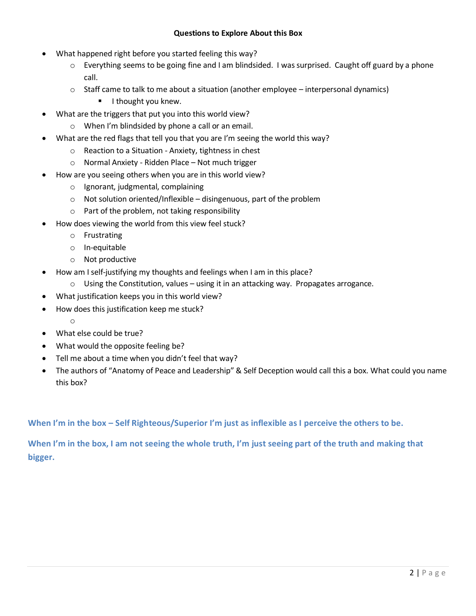#### **Questions to Explore About this Box**

- What happened right before you started feeling this way?
	- $\circ$  Everything seems to be going fine and I am blindsided. I was surprised. Caught off guard by a phone call.
	- o Staff came to talk to me about a situation (another employee interpersonal dynamics)
		- **I** I thought you knew.
- What are the triggers that put you into this world view?
	- o When I'm blindsided by phone a call or an email.
- What are the red flags that tell you that you are I'm seeing the world this way?
	- o Reaction to a Situation Anxiety, tightness in chest
	- o Normal Anxiety Ridden Place Not much trigger
- How are you seeing others when you are in this world view?
	- o Ignorant, judgmental, complaining
	- $\circ$  Not solution oriented/Inflexible disingenuous, part of the problem
	- o Part of the problem, not taking responsibility
- How does viewing the world from this view feel stuck?
	- o Frustrating
	- o In-equitable
	- o Not productive
- How am I self-justifying my thoughts and feelings when I am in this place?
	- $\circ$  Using the Constitution, values using it in an attacking way. Propagates arrogance.
- What justification keeps you in this world view?
- How does this justification keep me stuck?
	- o
- What else could be true?
- What would the opposite feeling be?
- Tell me about a time when you didn't feel that way?
- The authors of "Anatomy of Peace and Leadership" & Self Deception would call this a box. What could you name this box?

**When I'm in the box – Self Righteous/Superior I'm just as inflexible as I perceive the others to be.**

**When I'm in the box, I am not seeing the whole truth, I'm just seeing part of the truth and making that bigger.**